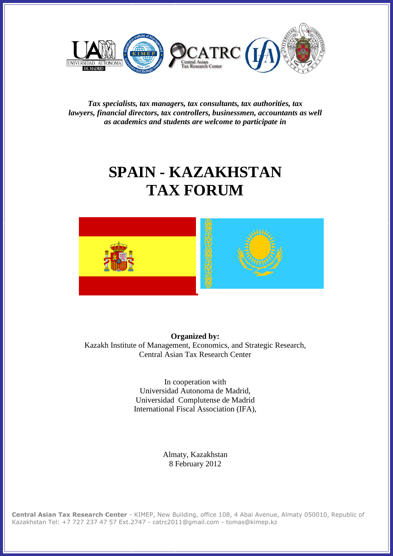

*Tax specialists, tax managers, tax consultants, tax authorities, tax lawyers, financial directors, tax controllers, businessmen, accountants as well as academics and students are welcome to participate in*

# **SPAIN - KAZAKHSTAN TAX FORUM**



**Organized by:** Kazakh Institute of Management, Economics, and Strategic Research, Central Asian Tax Research Center

> In cooperation with Universidad Autonoma de Madrid, Universidad Complutense de Madrid International Fiscal Association (IFA),

> > Almaty, Kazakhstan 8 February 2012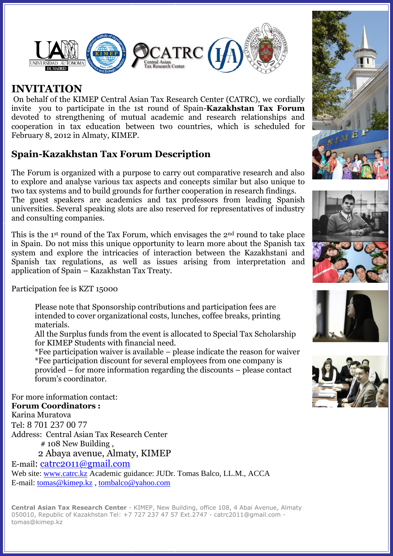

## **INVITATION**

On behalf of the KIMEP Central Asian Tax Research Center (CATRC), we cordially invite you to participate in the 1st round of Spain-**Kazakhstan Tax Forum** devoted to strengthening of mutual academic and research relationships and cooperation in tax education between two countries, which is scheduled for February 8, 2012 in Almaty, KIMEP.

## **Spain-Kazakhstan Tax Forum Description**

The Forum is organized with a purpose to carry out comparative research and also to explore and analyse various tax aspects and concepts similar but also unique to two tax systems and to build grounds for further cooperation in research findings. The guest speakers are academics and tax professors from leading Spanish universities. Several speaking slots are also reserved for representatives of industry and consulting companies.

This is the 1st round of the Tax Forum, which envisages the 2nd round to take place in Spain. Do not miss this unique opportunity to learn more about the Spanish tax system and explore the intricacies of interaction between the Kazakhstani and Spanish tax regulations, as well as issues arising from interpretation and application of Spain – Kazakhstan Tax Treaty.

Participation fee is KZT 15000

Please note that Sponsorship contributions and participation fees are intended to cover organizational costs, lunches, coffee breaks, printing materials.

All the Surplus funds from the event is allocated to Special Tax Scholarship for KIMEP Students with financial need.

\*Fee participation waiver is available – please indicate the reason for waiver \*Fee participation discount for several employees from one company is provided – for more information regarding the discounts – please contact forum's coordinator.

For more information contact: **Forum Coordinators :** Karina Muratova Tel: 8 701 237 00 77 Address: Central Asian Tax Research Center # 108 New Building , 2 Abaya avenue, Almaty, KIMEP E-mail: [catrc2011@gmail.com](mailto:catrc2011@gmail.com) Web site: [www.catrc.kz](http://www.catrc.kz/) Academic guidance: JUDr. Tomas Balco, LL.M., ACCA E-mail: [tomas@kimep.kz](mailto:tomas@kimep.kz) , [tombalco@yahoo.com](mailto:tombalco@yahoo.com)







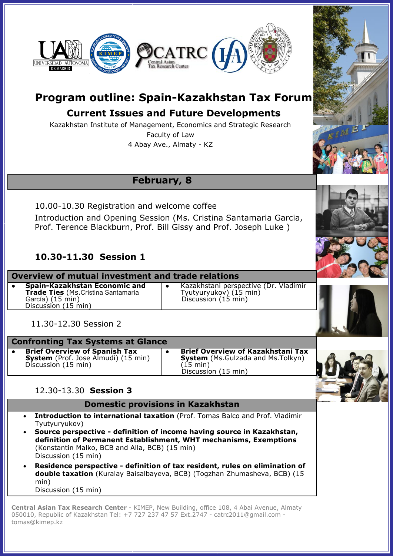

## **Program outline: Spain-Kazakhstan Tax Forum**

## **Current Issues and Future Developments**

Kazakhstan Institute of Management, Economics and Strategic Research Faculty of Law

4 Abay Ave., Almaty - KZ

## **February, 8**

10.00-10.30 Registration and welcome coffee Introduction and Opening Session (Ms. Cristina Santamaria Garcia, Prof. Terence Blackburn, Prof. Bill Gissy and Prof. Joseph Luke )

### **10.30-11.30 Session 1**

**Overview of mutual investment and trade relations** ● **Spain-Kazakhstan Economic and Trade Ties** (Ms.Cristina Santamaría García) (15 min) Discussion (15 min)

● Kazakhstani perspective (Dr. Vladimir Tyutyuryukov) (15 min) Discussion (15 min)

11.30-12.30 Session 2

#### **Confronting Tax Systems at Glance**

**Brief Overview of Spanish Tax System** (Prof. Jose Almudi) (15 min) Discussion (15 min)

● **Brief Overview of Kazakhstani Tax System** (Ms.Gulzada and Ms.Tolkyn) (15 min) Discussion (15 min)



### 12.30-13.30 **Session 3**

**Domestic provisions in Kazakhstan**

- **Introduction to international taxation** (Prof. Tomas Balco and Prof. Vladimir Tyutyuryukov)
- **Source perspective - definition of income having source in Kazakhstan, definition of Permanent Establishment, WHT mechanisms, Exemptions** (Konstantin Malko, BCB and Alla, BCB) (15 min) Discussion (15 min)
- **Residence perspective - definition of tax resident, rules on elimination of double taxation** (Kuralay Baisalbayeva, BCB) (Togzhan Zhumasheva, BCB) (15 min) Discussion (15 min)

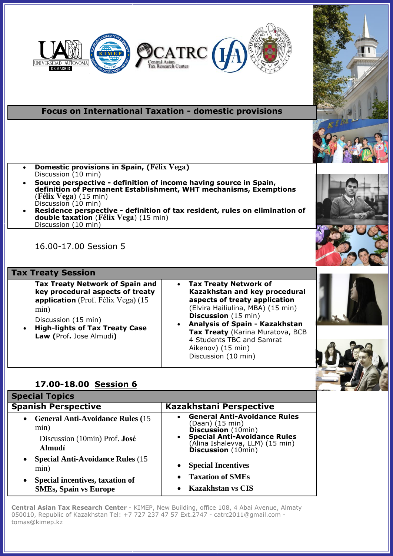

## **Focus on International Taxation - domestic provisions**

- **Domestic provisions in Spain, (Félix Vega)** Discussion (10 min)
- **Source perspective - definition of income having source in Spain, definition of Permanent Establishment, WHT mechanisms, Exemptions** (**Félix Vega**) (15 min) Discussion (10 min)
- **Residence perspective - definition of tax resident, rules on elimination of double taxation** (**Félix Vega**) (15 min) Discussion (10 min)

16.00-17.00 Session 5

#### **Tax Treaty Session**

**Tax Treaty Network of Spain and key procedural aspects of treaty application** (Prof. Félix Vega) (15 min)

- Discussion (15 min)
- **High-lights of Tax Treaty Case Law (**Prof**.** Jose Almudi**)**
- **Tax Treaty Network of Kazakhstan and key procedural aspects of treaty application** (Elvira Hailiulina, MBA) (15 min) **Discussion** (15 min)
- **Analysis of Spain - Kazakhstan Tax Treaty** (Karina Muratova, BCB 4 Students TBC and Samrat Aikenov) (15 min) Discussion (10 min)



| <b>Special Topics</b>                                                                                                                         |                                                                                                                                                                                            |
|-----------------------------------------------------------------------------------------------------------------------------------------------|--------------------------------------------------------------------------------------------------------------------------------------------------------------------------------------------|
| <b>Spanish Perspective</b>                                                                                                                    | Kazakhstani Perspective                                                                                                                                                                    |
| <b>General Anti-Avoidance Rules (15)</b><br>$\bullet$<br>min)<br>Discussion (10min) Prof. José<br><b>Almudí</b>                               | <b>General Anti-Avoidance Rules</b><br>(Daan) (15 min)<br><b>Discussion</b> (10min)<br><b>Special Anti-Avoidance Rules</b><br>(Alina Ishalevva, LLM) (15 min)<br><b>Discussion</b> (10min) |
| <b>Special Anti-Avoidance Rules (15)</b><br>$\bullet$<br>min)<br>Special incentives, taxation of<br>$\bullet$<br><b>SMEs, Spain vs Europe</b> | <b>Special Incentives</b><br><b>Taxation of SMEs</b><br><b>Kazakhstan vs CIS</b>                                                                                                           |
|                                                                                                                                               |                                                                                                                                                                                            |





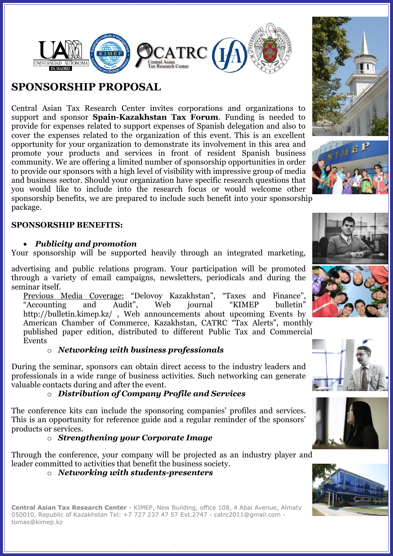

## **SPONSORSHIP PROPOSAL**

Central Asian Tax Research Center invites corporations and organizations to support and sponsor **Spain-Kazakhstan Tax Forum**. Funding is needed to provide for expenses related to support expenses of Spanish delegation and also to cover the expenses related to the organization of this event. This is an excellent opportunity for your organization to demonstrate its involvement in this area and promote your products and services in front of resident Spanish business community. We are offering a limited number of sponsorship opportunities in order to provide our sponsors with a high level of visibility with impressive group of media and business sector. Should your organization have specific research questions that you would like to include into the research focus or would welcome other sponsorship benefits, we are prepared to include such benefit into your sponsorship package.

#### **SPONSORSHIP BENEFITS:**

#### *Publicity and promotion*

Your sponsorship will be supported heavily through an integrated marketing,

advertising and public relations program. Your participation will be promoted through a variety of email campaigns, newsletters, periodicals and during the seminar itself.

Previous Media Coverage: "Delovoy Kazakhstan", "Taxes and Finance", "Accounting and Audit", Web journal "KIMEP bulletin" "Accounting and Audit", Web journal "KIMEP bulletin" <http://bulletin.kimep.kz/> , Web announcements about upcoming Events by American Chamber of Commerce, Kazakhstan, CATRC "Tax Alerts", monthly published paper edition, distributed to different Public Tax and Commercial Events

#### o *Networking with business professionals*

During the seminar, sponsors can obtain direct access to the industry leaders and professionals in a wide range of business activities. Such networking can generate valuable contacts during and after the event.

#### o *Distribution of Company Profile and Services*

The conference kits can include the sponsoring companies' profiles and services. This is an opportunity for reference guide and a regular reminder of the sponsors' products or services.

#### o *Strengthening your Corporate Image*

Through the conference, your company will be projected as an industry player and leader committed to activities that benefit the business society.

#### o *Networking with students-presenters*











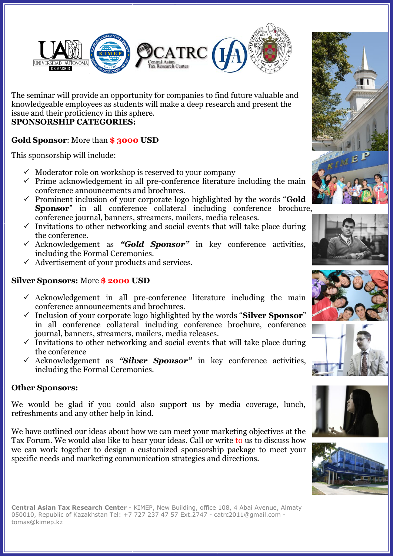

The seminar will provide an opportunity for companies to find future valuable and knowledgeable employees as students will make a deep research and present the issue and their proficiency in this sphere. **SPONSORSHIP CATEGORIES:**

#### **Gold Sponsor**: More than **\$ 3000 USD**

This sponsorship will include:

- $\checkmark$  Moderator role on workshop is reserved to your company
- $\checkmark$  Prime acknowledgement in all pre-conference literature including the main conference announcements and brochures.
- Prominent inclusion of your corporate logo highlighted by the words "**Gold Sponsor**" in all conference collateral including conference brochure, conference journal, banners, streamers, mailers, media releases.
- $\checkmark$  Invitations to other networking and social events that will take place during the conference.
- Acknowledgement as *"Gold Sponsor"* in key conference activities, including the Formal Ceremonies.
- $\checkmark$  Advertisement of your products and services.

#### **Silver Sponsors:** More **\$ 2000 USD**

- $\checkmark$  Acknowledgement in all pre-conference literature including the main conference announcements and brochures.
- Inclusion of your corporate logo highlighted by the words "**Silver Sponsor**" in all conference collateral including conference brochure, conference journal, banners, streamers, mailers, media releases.
- $\checkmark$  Invitations to other networking and social events that will take place during the conference
- Acknowledgement as *"Silver Sponsor"* in key conference activities, including the Formal Ceremonies.

#### **Other Sponsors:**

We would be glad if you could also support us by media coverage, lunch, refreshments and any other help in kind.

We have outlined our ideas about how we can meet your marketing objectives at the Tax Forum. We would also like to hear your ideas. Call or write to us to discuss how we can work together to design a customized sponsorship package to meet your specific needs and marketing communication strategies and directions.









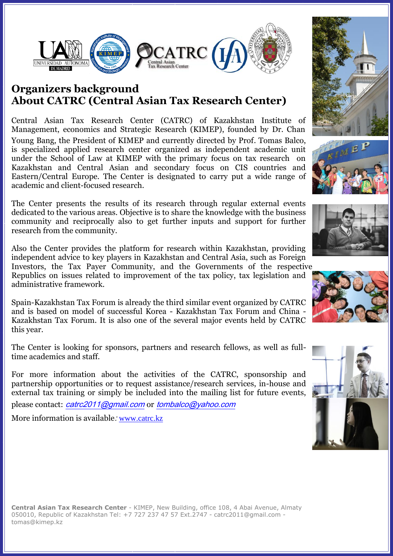

## **Organizers background About CATRC (Central Asian Tax Research Center)**

Central Asian Tax Research Center (CATRC) of Kazakhstan Institute of Management, economics and Strategic Research (KIMEP), founded by Dr. Chan Young Bang, the President of KIMEP and currently directed by Prof. Tomas Balco, is specialized applied research center organized as independent academic unit under the School of Law at KIMEP with the primary focus on tax research on Kazakhstan and Central Asian and secondary focus on CIS countries and Eastern/Central Europe. The Center is designated to carry put a wide range of academic and client-focused research.

The Center presents the results of its research through regular external events dedicated to the various areas. Objective is to share the knowledge with the business community and reciprocally also to get further inputs and support for further research from the community.

Also the Center provides the platform for research within Kazakhstan, providing independent advice to key players in Kazakhstan and Central Asia, such as Foreign Investors, the Tax Payer Community, and the Governments of the respective Republics on issues related to improvement of the tax policy, tax legislation and administrative framework.

Spain-Kazakhstan Tax Forum is already the third similar event organized by CATRC and is based on model of successful Korea - Kazakhstan Tax Forum and China - Kazakhstan Tax Forum. It is also one of the several major events held by CATRC this year.

The Center is looking for sponsors, partners and research fellows, as well as fulltime academics and staff.

For more information about the activities of the CATRC, sponsorship and partnership opportunities or to request assistance/research services, in-house and external tax training or simply be included into the mailing list for future events,

please contact: [catrc2011@gmail.com](../Local%20Settings/Temporary%20Internet%20Files/Content.IE5/7795I3NW/Local%20Settings/Temporary%20Internet%20Files/Content.IE5/55ZX1GE9/catrc2011@gmail.com) or [tombalco@yahoo.com](../Local%20Settings/Temporary%20Internet%20Files/Content.IE5/7795I3NW/Local%20Settings/Temporary%20Internet%20Files/Content.IE5/55ZX1GE9/tombalco@yahoo.com)

More information is available: [www.catrc.kz](http://www.catrc.kz/)